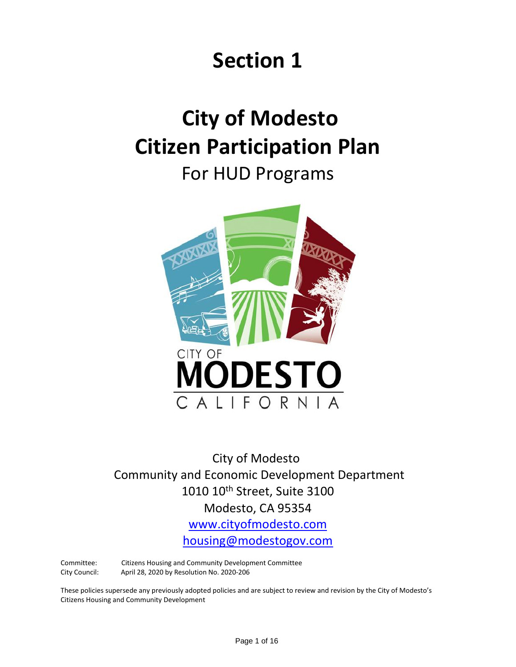# **Section 1**

# **City of Modesto Citizen Participation Plan**

For HUD Programs



City of Modesto Community and Economic Development Department 1010 10<sup>th</sup> Street, Suite 3100 Modesto, CA 95354 [www.cityofmodesto.com](http://www.cityofmodesto.com/)

[housing@modestogov.com](mailto:housing@modestogov.com)

Committee: Citizens Housing and Community Development Committee City Council: April 28, 2020 by Resolution No. 2020-206

These policies supersede any previously adopted policies and are subject to review and revision by the City of Modesto's Citizens Housing and Community Development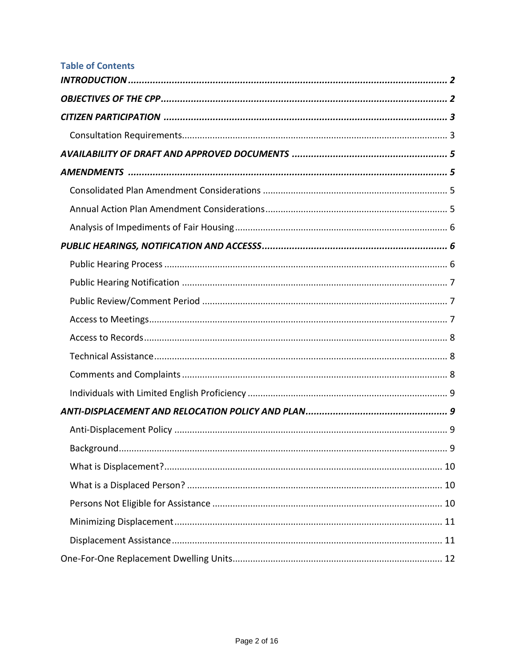| <b>Table of Contents</b> |
|--------------------------|
|                          |
|                          |
|                          |
|                          |
|                          |
|                          |
|                          |
|                          |
|                          |
|                          |
|                          |
|                          |
|                          |
|                          |
|                          |
|                          |
|                          |
|                          |
|                          |
|                          |
|                          |
|                          |
|                          |
|                          |
|                          |
|                          |
|                          |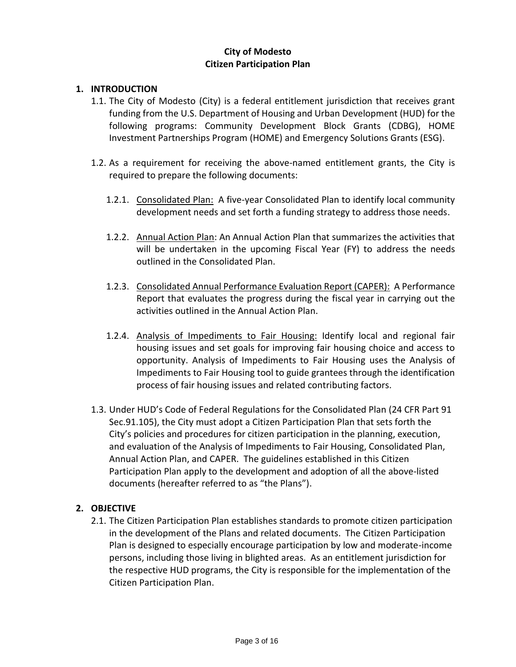### **City of Modesto Citizen Participation Plan**

#### **1. INTRODUCTION**

- 1.1. The City of Modesto (City) is a federal entitlement jurisdiction that receives grant funding from the U.S. Department of Housing and Urban Development (HUD) for the following programs: Community Development Block Grants (CDBG), HOME Investment Partnerships Program (HOME) and Emergency Solutions Grants (ESG).
- 1.2. As a requirement for receiving the above-named entitlement grants, the City is required to prepare the following documents:
	- 1.2.1. Consolidated Plan: A five-year Consolidated Plan to identify local community development needs and set forth a funding strategy to address those needs.
	- 1.2.2. Annual Action Plan: An Annual Action Plan that summarizes the activities that will be undertaken in the upcoming Fiscal Year (FY) to address the needs outlined in the Consolidated Plan.
	- 1.2.3. Consolidated Annual Performance Evaluation Report (CAPER): A Performance Report that evaluates the progress during the fiscal year in carrying out the activities outlined in the Annual Action Plan.
	- 1.2.4. Analysis of Impediments to Fair Housing: Identify local and regional fair housing issues and set goals for improving fair housing choice and access to opportunity. Analysis of Impediments to Fair Housing uses the Analysis of Impediments to Fair Housing tool to guide grantees through the identification process of fair housing issues and related contributing factors.
- 1.3. Under HUD's Code of Federal Regulations for the Consolidated Plan (24 CFR Part 91 Sec.91.105), the City must adopt a Citizen Participation Plan that sets forth the City's policies and procedures for citizen participation in the planning, execution, and evaluation of the Analysis of Impediments to Fair Housing, Consolidated Plan, Annual Action Plan, and CAPER. The guidelines established in this Citizen Participation Plan apply to the development and adoption of all the above-listed documents (hereafter referred to as "the Plans").

#### **2. OBJECTIVE**

2.1. The Citizen Participation Plan establishes standards to promote citizen participation in the development of the Plans and related documents. The Citizen Participation Plan is designed to especially encourage participation by low and moderate-income persons, including those living in blighted areas. As an entitlement jurisdiction for the respective HUD programs, the City is responsible for the implementation of the Citizen Participation Plan.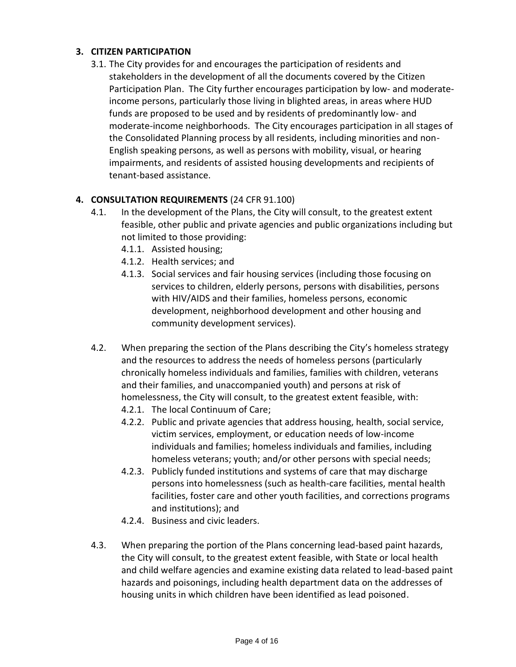# **3. CITIZEN PARTICIPATION**

3.1. The City provides for and encourages the participation of residents and stakeholders in the development of all the documents covered by the Citizen Participation Plan. The City further encourages participation by low- and moderateincome persons, particularly those living in blighted areas, in areas where HUD funds are proposed to be used and by residents of predominantly low- and moderate-income neighborhoods. The City encourages participation in all stages of the Consolidated Planning process by all residents, including minorities and non-English speaking persons, as well as persons with mobility, visual, or hearing impairments, and residents of assisted housing developments and recipients of tenant-based assistance.

## **4. CONSULTATION REQUIREMENTS** (24 CFR 91.100)

- 4.1. In the development of the Plans, the City will consult, to the greatest extent feasible, other public and private agencies and public organizations including but not limited to those providing:
	- 4.1.1. Assisted housing;
	- 4.1.2. Health services; and
	- 4.1.3. Social services and fair housing services (including those focusing on services to children, elderly persons, persons with disabilities, persons with HIV/AIDS and their families, homeless persons, economic development, neighborhood development and other housing and community development services).
- 4.2. When preparing the section of the Plans describing the City's homeless strategy and the resources to address the needs of homeless persons (particularly chronically homeless individuals and families, families with children, veterans and their families, and unaccompanied youth) and persons at risk of homelessness, the City will consult, to the greatest extent feasible, with:
	- 4.2.1. The local Continuum of Care;
	- 4.2.2. Public and private agencies that address housing, health, social service, victim services, employment, or education needs of low-income individuals and families; homeless individuals and families, including homeless veterans; youth; and/or other persons with special needs;
	- 4.2.3. Publicly funded institutions and systems of care that may discharge persons into homelessness (such as health-care facilities, mental health facilities, foster care and other youth facilities, and corrections programs and institutions); and
	- 4.2.4. Business and civic leaders.
- 4.3. When preparing the portion of the Plans concerning lead-based paint hazards, the City will consult, to the greatest extent feasible, with State or local health and child welfare agencies and examine existing data related to lead-based paint hazards and poisonings, including health department data on the addresses of housing units in which children have been identified as lead poisoned.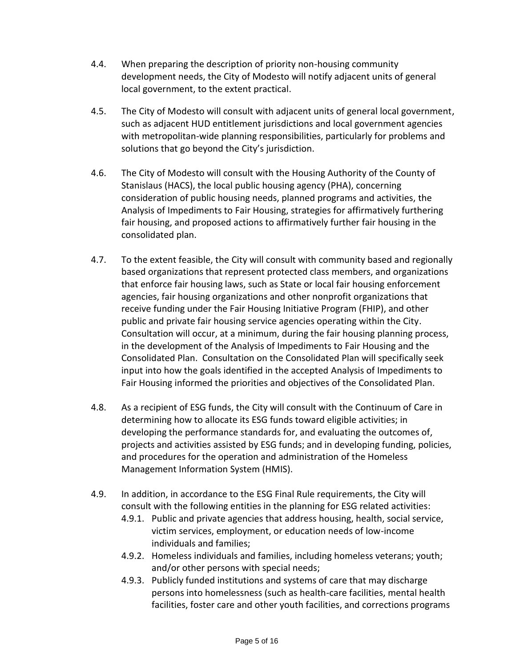- 4.4. When preparing the description of priority non-housing community development needs, the City of Modesto will notify adjacent units of general local government, to the extent practical.
- 4.5. The City of Modesto will consult with adjacent units of general local government, such as adjacent HUD entitlement jurisdictions and local government agencies with metropolitan-wide planning responsibilities, particularly for problems and solutions that go beyond the City's jurisdiction.
- 4.6. The City of Modesto will consult with the Housing Authority of the County of Stanislaus (HACS), the local public housing agency (PHA), concerning consideration of public housing needs, planned programs and activities, the Analysis of Impediments to Fair Housing, strategies for affirmatively furthering fair housing, and proposed actions to affirmatively further fair housing in the consolidated plan.
- 4.7. To the extent feasible, the City will consult with community based and regionally based organizations that represent protected class members, and organizations that enforce fair housing laws, such as State or local fair housing enforcement agencies, fair housing organizations and other nonprofit organizations that receive funding under the Fair Housing Initiative Program (FHIP), and other public and private fair housing service agencies operating within the City. Consultation will occur, at a minimum, during the fair housing planning process, in the development of the Analysis of Impediments to Fair Housing and the Consolidated Plan. Consultation on the Consolidated Plan will specifically seek input into how the goals identified in the accepted Analysis of Impediments to Fair Housing informed the priorities and objectives of the Consolidated Plan.
- 4.8. As a recipient of ESG funds, the City will consult with the Continuum of Care in determining how to allocate its ESG funds toward eligible activities; in developing the performance standards for, and evaluating the outcomes of, projects and activities assisted by ESG funds; and in developing funding, policies, and procedures for the operation and administration of the Homeless Management Information System (HMIS).
- 4.9. In addition, in accordance to the ESG Final Rule requirements, the City will consult with the following entities in the planning for ESG related activities:
	- 4.9.1. Public and private agencies that address housing, health, social service, victim services, employment, or education needs of low-income individuals and families;
	- 4.9.2. Homeless individuals and families, including homeless veterans; youth; and/or other persons with special needs;
	- 4.9.3. Publicly funded institutions and systems of care that may discharge persons into homelessness (such as health-care facilities, mental health facilities, foster care and other youth facilities, and corrections programs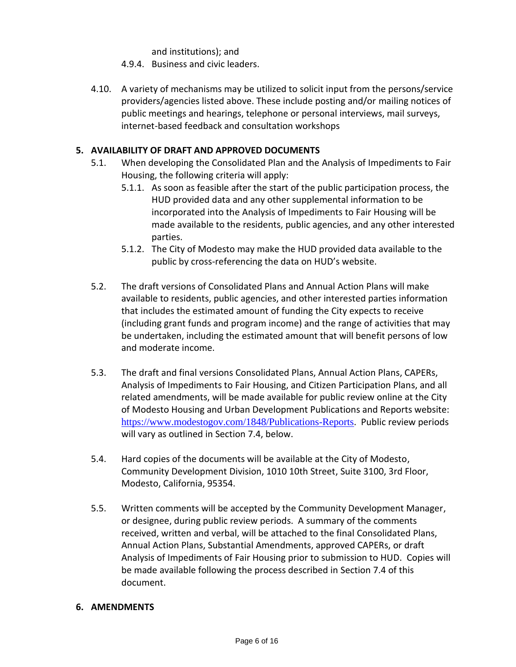and institutions); and

- 4.9.4. Business and civic leaders.
- 4.10. A variety of mechanisms may be utilized to solicit input from the persons/service providers/agencies listed above. These include posting and/or mailing notices of public meetings and hearings, telephone or personal interviews, mail surveys, internet-based feedback and consultation workshops

#### **5. AVAILABILITY OF DRAFT AND APPROVED DOCUMENTS**

- 5.1. When developing the Consolidated Plan and the Analysis of Impediments to Fair Housing, the following criteria will apply:
	- 5.1.1. As soon as feasible after the start of the public participation process, the HUD provided data and any other supplemental information to be incorporated into the Analysis of Impediments to Fair Housing will be made available to the residents, public agencies, and any other interested parties.
	- 5.1.2. The City of Modesto may make the HUD provided data available to the public by cross-referencing the data on HUD's website.
- 5.2. The draft versions of Consolidated Plans and Annual Action Plans will make available to residents, public agencies, and other interested parties information that includes the estimated amount of funding the City expects to receive (including grant funds and program income) and the range of activities that may be undertaken, including the estimated amount that will benefit persons of low and moderate income.
- 5.3. The draft and final versions Consolidated Plans, Annual Action Plans, CAPERs, Analysis of Impediments to Fair Housing, and Citizen Participation Plans, and all related amendments, will be made available for public review online at the City of Modesto Housing and Urban Development Publications and Reports website: <https://www.modestogov.com/1848/Publications-Reports>. Public review periods will vary as outlined in Section 7.4, below.
- 5.4. Hard copies of the documents will be available at the City of Modesto, Community Development Division, 1010 10th Street, Suite 3100, 3rd Floor, Modesto, California, 95354.
- 5.5. Written comments will be accepted by the Community Development Manager, or designee, during public review periods. A summary of the comments received, written and verbal, will be attached to the final Consolidated Plans, Annual Action Plans, Substantial Amendments, approved CAPERs, or draft Analysis of Impediments of Fair Housing prior to submission to HUD. Copies will be made available following the process described in Section 7.4 of this document.

#### **6. AMENDMENTS**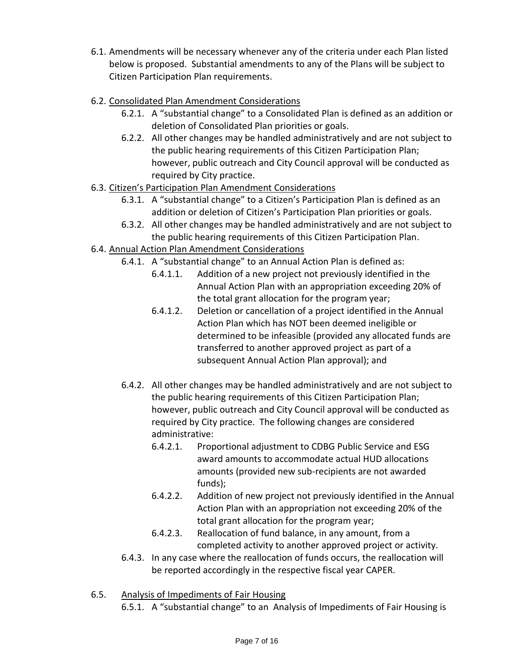- 6.1. Amendments will be necessary whenever any of the criteria under each Plan listed below is proposed. Substantial amendments to any of the Plans will be subject to Citizen Participation Plan requirements.
- 6.2. Consolidated Plan Amendment Considerations
	- 6.2.1. A "substantial change" to a Consolidated Plan is defined as an addition or deletion of Consolidated Plan priorities or goals.
	- 6.2.2. All other changes may be handled administratively and are not subject to the public hearing requirements of this Citizen Participation Plan; however, public outreach and City Council approval will be conducted as required by City practice.
- 6.3. Citizen's Participation Plan Amendment Considerations
	- 6.3.1. A "substantial change" to a Citizen's Participation Plan is defined as an addition or deletion of Citizen's Participation Plan priorities or goals.
	- 6.3.2. All other changes may be handled administratively and are not subject to the public hearing requirements of this Citizen Participation Plan.
- 6.4. Annual Action Plan Amendment Considerations
	- 6.4.1. A "substantial change" to an Annual Action Plan is defined as:
		- 6.4.1.1. Addition of a new project not previously identified in the Annual Action Plan with an appropriation exceeding 20% of the total grant allocation for the program year;
		- 6.4.1.2. Deletion or cancellation of a project identified in the Annual Action Plan which has NOT been deemed ineligible or determined to be infeasible (provided any allocated funds are transferred to another approved project as part of a subsequent Annual Action Plan approval); and
	- 6.4.2. All other changes may be handled administratively and are not subject to the public hearing requirements of this Citizen Participation Plan; however, public outreach and City Council approval will be conducted as required by City practice. The following changes are considered administrative:
		- 6.4.2.1. Proportional adjustment to CDBG Public Service and ESG award amounts to accommodate actual HUD allocations amounts (provided new sub-recipients are not awarded funds);
		- 6.4.2.2. Addition of new project not previously identified in the Annual Action Plan with an appropriation not exceeding 20% of the total grant allocation for the program year;
		- 6.4.2.3. Reallocation of fund balance, in any amount, from a completed activity to another approved project or activity.
	- 6.4.3. In any case where the reallocation of funds occurs, the reallocation will be reported accordingly in the respective fiscal year CAPER.
- 6.5. Analysis of Impediments of Fair Housing
	- 6.5.1. A "substantial change" to an Analysis of Impediments of Fair Housing is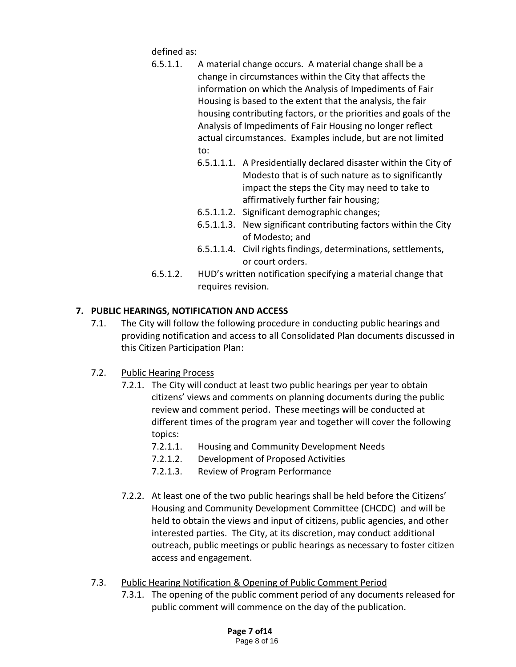defined as:

- 6.5.1.1. A material change occurs. A material change shall be a change in circumstances within the City that affects the information on which the Analysis of Impediments of Fair Housing is based to the extent that the analysis, the fair housing contributing factors, or the priorities and goals of the Analysis of Impediments of Fair Housing no longer reflect actual circumstances. Examples include, but are not limited to:
	- 6.5.1.1.1. A Presidentially declared disaster within the City of Modesto that is of such nature as to significantly impact the steps the City may need to take to affirmatively further fair housing;
	- 6.5.1.1.2. Significant demographic changes;
	- 6.5.1.1.3. New significant contributing factors within the City of Modesto; and
	- 6.5.1.1.4. Civil rights findings, determinations, settlements, or court orders.
- 6.5.1.2. HUD's written notification specifying a material change that requires revision.

# **7. PUBLIC HEARINGS, NOTIFICATION AND ACCESS**

7.1. The City will follow the following procedure in conducting public hearings and providing notification and access to all Consolidated Plan documents discussed in this Citizen Participation Plan:

## 7.2. Public Hearing Process

- 7.2.1. The City will conduct at least two public hearings per year to obtain citizens' views and comments on planning documents during the public review and comment period. These meetings will be conducted at different times of the program year and together will cover the following topics:
	- 7.2.1.1. Housing and Community Development Needs
	- 7.2.1.2. Development of Proposed Activities
	- 7.2.1.3. Review of Program Performance
- 7.2.2. At least one of the two public hearings shall be held before the Citizens' Housing and Community Development Committee (CHCDC) and will be held to obtain the views and input of citizens, public agencies, and other interested parties. The City, at its discretion, may conduct additional outreach, public meetings or public hearings as necessary to foster citizen access and engagement.
- 7.3. Public Hearing Notification & Opening of Public Comment Period
	- 7.3.1. The opening of the public comment period of any documents released for public comment will commence on the day of the publication.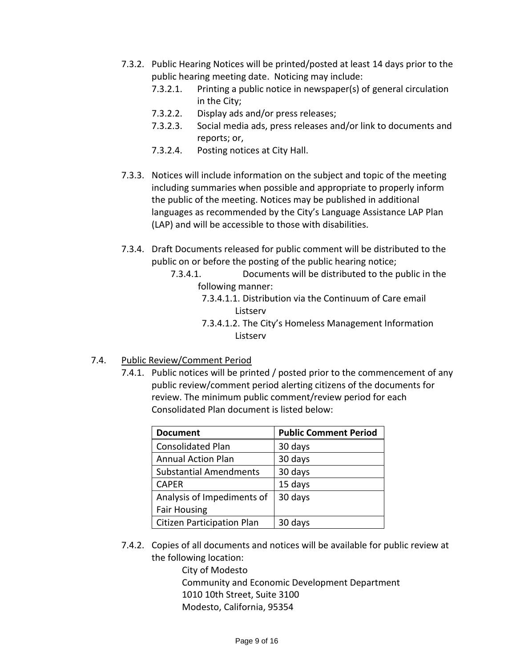- 7.3.2. Public Hearing Notices will be printed/posted at least 14 days prior to the public hearing meeting date. Noticing may include:
	- 7.3.2.1. Printing a public notice in newspaper(s) of general circulation in the City;
	- 7.3.2.2. Display ads and/or press releases;
	- 7.3.2.3. Social media ads, press releases and/or link to documents and reports; or,
	- 7.3.2.4. Posting notices at City Hall.
- 7.3.3. Notices will include information on the subject and topic of the meeting including summaries when possible and appropriate to properly inform the public of the meeting. Notices may be published in additional languages as recommended by the City's Language Assistance LAP Plan (LAP) and will be accessible to those with disabilities.
- 7.3.4. Draft Documents released for public comment will be distributed to the public on or before the posting of the public hearing notice;
	- 7.3.4.1. Documents will be distributed to the public in the following manner:
		- 7.3.4.1.1. Distribution via the Continuum of Care email Listserv
		- 7.3.4.1.2. The City's Homeless Management Information Listserv
- 7.4. Public Review/Comment Period
	- 7.4.1. Public notices will be printed / posted prior to the commencement of any public review/comment period alerting citizens of the documents for review. The minimum public comment/review period for each Consolidated Plan document is listed below:

| <b>Document</b>                   | <b>Public Comment Period</b> |
|-----------------------------------|------------------------------|
| <b>Consolidated Plan</b>          | 30 days                      |
| <b>Annual Action Plan</b>         | 30 days                      |
| <b>Substantial Amendments</b>     | 30 days                      |
| <b>CAPER</b>                      | 15 days                      |
| Analysis of Impediments of        | 30 days                      |
| <b>Fair Housing</b>               |                              |
| <b>Citizen Participation Plan</b> | 30 days                      |

7.4.2. Copies of all documents and notices will be available for public review at the following location:

> City of Modesto Community and Economic Development Department 1010 10th Street, Suite 3100 Modesto, California, 95354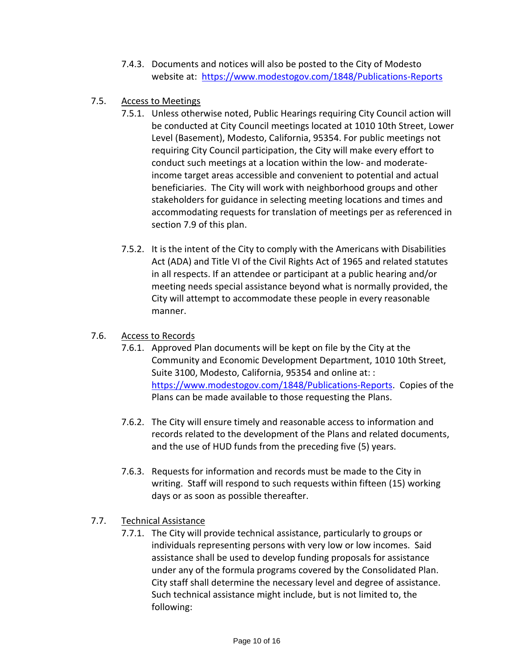- 7.4.3. Documents and notices will also be posted to the City of Modesto website at: <https://www.modestogov.com/1848/Publications-Reports>
- 7.5. Access to Meetings
	- 7.5.1. Unless otherwise noted, Public Hearings requiring City Council action will be conducted at City Council meetings located at 1010 10th Street, Lower Level (Basement), Modesto, California, 95354. For public meetings not requiring City Council participation, the City will make every effort to conduct such meetings at a location within the low- and moderateincome target areas accessible and convenient to potential and actual beneficiaries. The City will work with neighborhood groups and other stakeholders for guidance in selecting meeting locations and times and accommodating requests for translation of meetings per as referenced in section 7.9 of this plan.
	- 7.5.2. It is the intent of the City to comply with the Americans with Disabilities Act (ADA) and Title VI of the Civil Rights Act of 1965 and related statutes in all respects. If an attendee or participant at a public hearing and/or meeting needs special assistance beyond what is normally provided, the City will attempt to accommodate these people in every reasonable manner.

#### 7.6. Access to Records

- 7.6.1. Approved Plan documents will be kept on file by the City at the Community and Economic Development Department, 1010 10th Street, Suite 3100, Modesto, California, 95354 and online at: : [https://www.modestogov.com/1848/Publications-Reports.](https://www.modestogov.com/1848/Publications-Reports) Copies of the Plans can be made available to those requesting the Plans.
- 7.6.2. The City will ensure timely and reasonable access to information and records related to the development of the Plans and related documents, and the use of HUD funds from the preceding five (5) years.
- 7.6.3. Requests for information and records must be made to the City in writing. Staff will respond to such requests within fifteen (15) working days or as soon as possible thereafter.

## 7.7. Technical Assistance

7.7.1. The City will provide technical assistance, particularly to groups or individuals representing persons with very low or low incomes. Said assistance shall be used to develop funding proposals for assistance under any of the formula programs covered by the Consolidated Plan. City staff shall determine the necessary level and degree of assistance. Such technical assistance might include, but is not limited to, the following: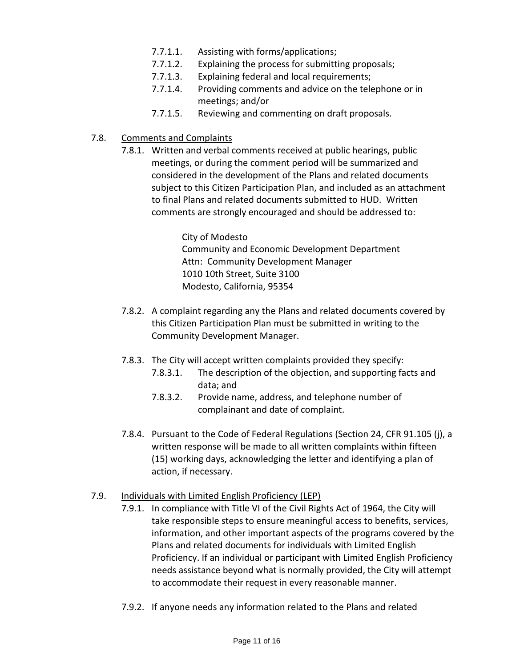- 7.7.1.1. Assisting with forms/applications;
- 7.7.1.2. Explaining the process for submitting proposals;
- 7.7.1.3. Explaining federal and local requirements;
- 7.7.1.4. Providing comments and advice on the telephone or in meetings; and/or
- 7.7.1.5. Reviewing and commenting on draft proposals.
- 7.8. Comments and Complaints
	- 7.8.1. Written and verbal comments received at public hearings, public meetings, or during the comment period will be summarized and considered in the development of the Plans and related documents subject to this Citizen Participation Plan, and included as an attachment to final Plans and related documents submitted to HUD. Written comments are strongly encouraged and should be addressed to:

City of Modesto Community and Economic Development Department Attn: Community Development Manager 1010 10th Street, Suite 3100 Modesto, California, 95354

- 7.8.2. A complaint regarding any the Plans and related documents covered by this Citizen Participation Plan must be submitted in writing to the Community Development Manager.
- 7.8.3. The City will accept written complaints provided they specify:
	- 7.8.3.1. The description of the objection, and supporting facts and data; and
	- 7.8.3.2. Provide name, address, and telephone number of complainant and date of complaint.
- 7.8.4. Pursuant to the Code of Federal Regulations (Section 24, CFR 91.105 (j), a written response will be made to all written complaints within fifteen (15) working days, acknowledging the letter and identifying a plan of action, if necessary.

## 7.9. Individuals with Limited English Proficiency (LEP)

- 7.9.1. In compliance with Title VI of the Civil Rights Act of 1964, the City will take responsible steps to ensure meaningful access to benefits, services, information, and other important aspects of the programs covered by the Plans and related documents for individuals with Limited English Proficiency. If an individual or participant with Limited English Proficiency needs assistance beyond what is normally provided, the City will attempt to accommodate their request in every reasonable manner.
- 7.9.2. If anyone needs any information related to the Plans and related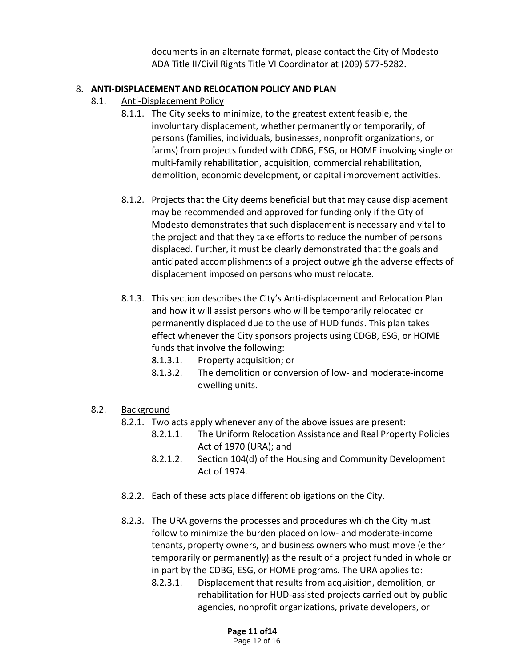documents in an alternate format, please contact the City of Modesto ADA Title II/Civil Rights Title VI Coordinator at (209) 577-5282.

#### 8. **ANTI-DISPLACEMENT AND RELOCATION POLICY AND PLAN**

- 8.1. Anti-Displacement Policy
	- 8.1.1. The City seeks to minimize, to the greatest extent feasible, the involuntary displacement, whether permanently or temporarily, of persons (families, individuals, businesses, nonprofit organizations, or farms) from projects funded with CDBG, ESG, or HOME involving single or multi-family rehabilitation, acquisition, commercial rehabilitation, demolition, economic development, or capital improvement activities.
	- 8.1.2. Projects that the City deems beneficial but that may cause displacement may be recommended and approved for funding only if the City of Modesto demonstrates that such displacement is necessary and vital to the project and that they take efforts to reduce the number of persons displaced. Further, it must be clearly demonstrated that the goals and anticipated accomplishments of a project outweigh the adverse effects of displacement imposed on persons who must relocate.
	- 8.1.3. This section describes the City's Anti-displacement and Relocation Plan and how it will assist persons who will be temporarily relocated or permanently displaced due to the use of HUD funds. This plan takes effect whenever the City sponsors projects using CDGB, ESG, or HOME funds that involve the following:
		- 8.1.3.1. Property acquisition; or
		- 8.1.3.2. The demolition or conversion of low- and moderate-income dwelling units.

## 8.2. Background

- 8.2.1. Two acts apply whenever any of the above issues are present:
	- 8.2.1.1. The Uniform Relocation Assistance and Real Property Policies Act of 1970 (URA); and
	- 8.2.1.2. Section 104(d) of the Housing and Community Development Act of 1974.
- 8.2.2. Each of these acts place different obligations on the City.
- 8.2.3. The URA governs the processes and procedures which the City must follow to minimize the burden placed on low- and moderate-income tenants, property owners, and business owners who must move (either temporarily or permanently) as the result of a project funded in whole or in part by the CDBG, ESG, or HOME programs. The URA applies to:
	- 8.2.3.1. Displacement that results from acquisition, demolition, or rehabilitation for HUD-assisted projects carried out by public agencies, nonprofit organizations, private developers, or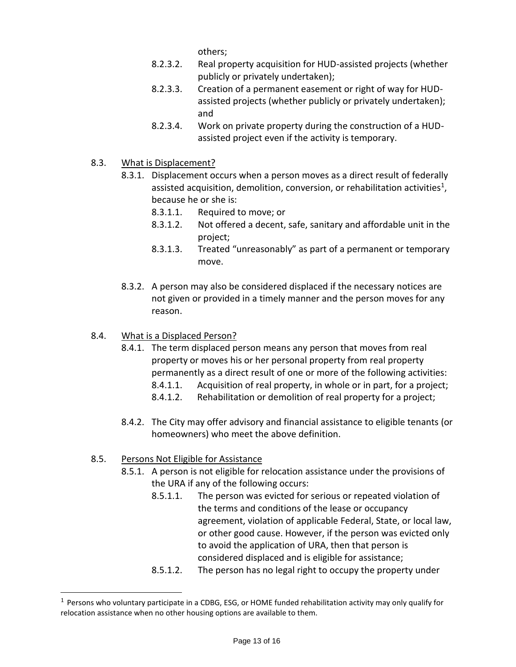others;

- 8.2.3.2. Real property acquisition for HUD-assisted projects (whether publicly or privately undertaken);
- 8.2.3.3. Creation of a permanent easement or right of way for HUDassisted projects (whether publicly or privately undertaken); and
- 8.2.3.4. Work on private property during the construction of a HUDassisted project even if the activity is temporary.
- 8.3. What is Displacement?
	- 8.3.1. Displacement occurs when a person moves as a direct result of federally assisted acquisition, demolition, conversion, or rehabilitation activities<sup>1</sup>, because he or she is:
		- 8.3.1.1. Required to move; or
		- 8.3.1.2. Not offered a decent, safe, sanitary and affordable unit in the project;
		- 8.3.1.3. Treated "unreasonably" as part of a permanent or temporary move.
	- 8.3.2. A person may also be considered displaced if the necessary notices are not given or provided in a timely manner and the person moves for any reason.
- 8.4. What is a Displaced Person?
	- 8.4.1. The term displaced person means any person that moves from real property or moves his or her personal property from real property permanently as a direct result of one or more of the following activities: 8.4.1.1. Acquisition of real property, in whole or in part, for a project;
		- 8.4.1.2. Rehabilitation or demolition of real property for a project;
	- 8.4.2. The City may offer advisory and financial assistance to eligible tenants (or homeowners) who meet the above definition.
- 8.5. Persons Not Eligible for Assistance
	- 8.5.1. A person is not eligible for relocation assistance under the provisions of the URA if any of the following occurs:
		- 8.5.1.1. The person was evicted for serious or repeated violation of the terms and conditions of the lease or occupancy agreement, violation of applicable Federal, State, or local law, or other good cause. However, if the person was evicted only to avoid the application of URA, then that person is considered displaced and is eligible for assistance;
		- 8.5.1.2. The person has no legal right to occupy the property under

 $1$  Persons who voluntary participate in a CDBG, ESG, or HOME funded rehabilitation activity may only qualify for relocation assistance when no other housing options are available to them.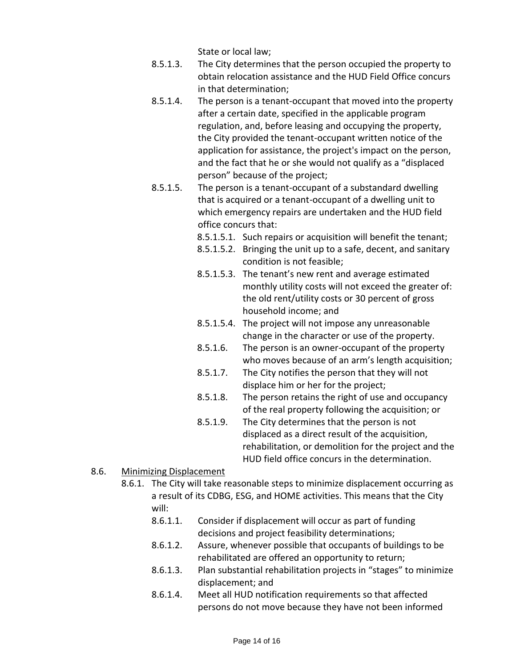State or local law;

- 8.5.1.3. The City determines that the person occupied the property to obtain relocation assistance and the HUD Field Office concurs in that determination;
- 8.5.1.4. The person is a tenant-occupant that moved into the property after a certain date, specified in the applicable program regulation, and, before leasing and occupying the property, the City provided the tenant-occupant written notice of the application for assistance, the project's impact on the person, and the fact that he or she would not qualify as a "displaced person" because of the project;
- 8.5.1.5. The person is a tenant-occupant of a substandard dwelling that is acquired or a tenant-occupant of a dwelling unit to which emergency repairs are undertaken and the HUD field office concurs that:
	- 8.5.1.5.1. Such repairs or acquisition will benefit the tenant;
	- 8.5.1.5.2. Bringing the unit up to a safe, decent, and sanitary condition is not feasible;
	- 8.5.1.5.3. The tenant's new rent and average estimated monthly utility costs will not exceed the greater of: the old rent/utility costs or 30 percent of gross household income; and
	- 8.5.1.5.4. The project will not impose any unreasonable change in the character or use of the property.
	- 8.5.1.6. The person is an owner-occupant of the property who moves because of an arm's length acquisition;
	- 8.5.1.7. The City notifies the person that they will not displace him or her for the project;
	- 8.5.1.8. The person retains the right of use and occupancy of the real property following the acquisition; or
	- 8.5.1.9. The City determines that the person is not displaced as a direct result of the acquisition, rehabilitation, or demolition for the project and the HUD field office concurs in the determination.
- 8.6. Minimizing Displacement
	- 8.6.1. The City will take reasonable steps to minimize displacement occurring as a result of its CDBG, ESG, and HOME activities. This means that the City will:
		- 8.6.1.1. Consider if displacement will occur as part of funding decisions and project feasibility determinations;
		- 8.6.1.2. Assure, whenever possible that occupants of buildings to be rehabilitated are offered an opportunity to return;
		- 8.6.1.3. Plan substantial rehabilitation projects in "stages" to minimize displacement; and
		- 8.6.1.4. Meet all HUD notification requirements so that affected persons do not move because they have not been informed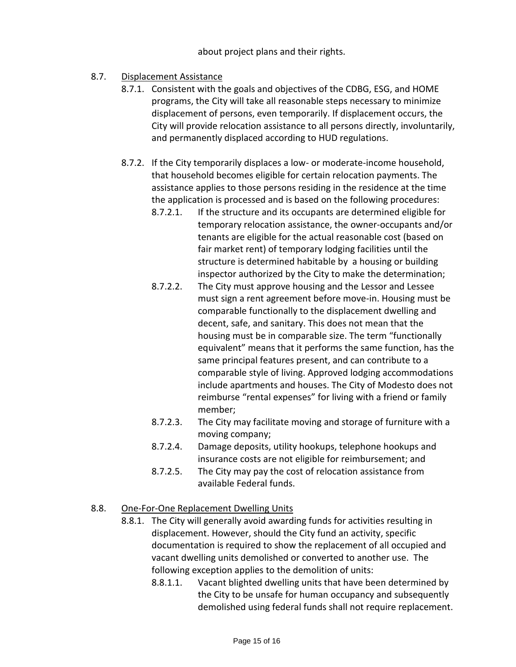#### about project plans and their rights.

# 8.7. Displacement Assistance

- 8.7.1. Consistent with the goals and objectives of the CDBG, ESG, and HOME programs, the City will take all reasonable steps necessary to minimize displacement of persons, even temporarily. If displacement occurs, the City will provide relocation assistance to all persons directly, involuntarily, and permanently displaced according to HUD regulations.
- 8.7.2. If the City temporarily displaces a low- or moderate-income household, that household becomes eligible for certain relocation payments. The assistance applies to those persons residing in the residence at the time the application is processed and is based on the following procedures:
	- 8.7.2.1. If the structure and its occupants are determined eligible for temporary relocation assistance, the owner-occupants and/or tenants are eligible for the actual reasonable cost (based on fair market rent) of temporary lodging facilities until the structure is determined habitable by a housing or building inspector authorized by the City to make the determination;
	- 8.7.2.2. The City must approve housing and the Lessor and Lessee must sign a rent agreement before move-in. Housing must be comparable functionally to the displacement dwelling and decent, safe, and sanitary. This does not mean that the housing must be in comparable size. The term "functionally equivalent" means that it performs the same function, has the same principal features present, and can contribute to a comparable style of living. Approved lodging accommodations include apartments and houses. The City of Modesto does not reimburse "rental expenses" for living with a friend or family member;
	- 8.7.2.3. The City may facilitate moving and storage of furniture with a moving company;
	- 8.7.2.4. Damage deposits, utility hookups, telephone hookups and insurance costs are not eligible for reimbursement; and
	- 8.7.2.5. The City may pay the cost of relocation assistance from available Federal funds.

## 8.8. One-For-One Replacement Dwelling Units

- 8.8.1. The City will generally avoid awarding funds for activities resulting in displacement. However, should the City fund an activity, specific documentation is required to show the replacement of all occupied and vacant dwelling units demolished or converted to another use. The following exception applies to the demolition of units:
	- 8.8.1.1. Vacant blighted dwelling units that have been determined by the City to be unsafe for human occupancy and subsequently demolished using federal funds shall not require replacement.